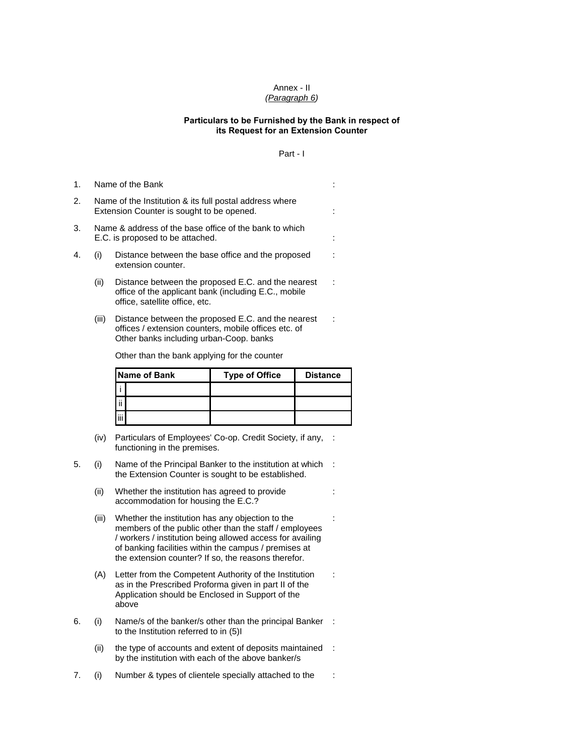## Annex - II *(Paragraph 6)*

## **Particulars to be Furnished by the Bank in respect of its Request for an Extension Counter**

## Part - I

:

:

:

| 1. | Name of the Bank                                                                                     |                                                                                                                                              |  |
|----|------------------------------------------------------------------------------------------------------|----------------------------------------------------------------------------------------------------------------------------------------------|--|
| 2. | Name of the Institution & its full postal address where<br>Extension Counter is sought to be opened. |                                                                                                                                              |  |
| 3. | Name & address of the base office of the bank to which<br>E.C. is proposed to be attached.           |                                                                                                                                              |  |
| 4. | (i)                                                                                                  | Distance between the base office and the proposed<br>extension counter.                                                                      |  |
|    | (ii)                                                                                                 | Distance between the proposed E.C. and the nearest<br>office of the applicant bank (including E.C., mobile<br>office, satellite office, etc. |  |
|    | (III)                                                                                                | Distance between the proposed E.C. and the nearest                                                                                           |  |

(iii) Distance between the proposed E.C. and the nearest offices / extension counters, mobile offices etc. of Other banks including urban-Coop. banks

Other than the bank applying for the counter

|      | <b>Name of Bank</b> | <b>Type of Office</b> | <b>Distance</b> |
|------|---------------------|-----------------------|-----------------|
|      |                     |                       |                 |
| l ii |                     |                       |                 |
|      |                     |                       |                 |

- (iv) Particulars of Employees' Co-op. Credit Society, if any, : functioning in the premises.
- 5. (i) Name of the Principal Banker to the institution at which : the Extension Counter is sought to be established.
	- (ii) Whether the institution has agreed to provide accommodation for housing the E.C.?
	- (iii) Whether the institution has any objection to the members of the public other than the staff / employees / workers / institution being allowed access for availing of banking facilities within the campus / premises at the extension counter? If so, the reasons therefor.
	- (A) Letter from the Competent Authority of the Institution as in the Prescribed Proforma given in part II of the Application should be Enclosed in Support of the above
- 6. (i) Name/s of the banker/s other than the principal Banker : to the Institution referred to in (5)I
	- (ii) the type of accounts and extent of deposits maintained : by the institution with each of the above banker/s
- 7. (i) Number & types of clientele specially attached to the :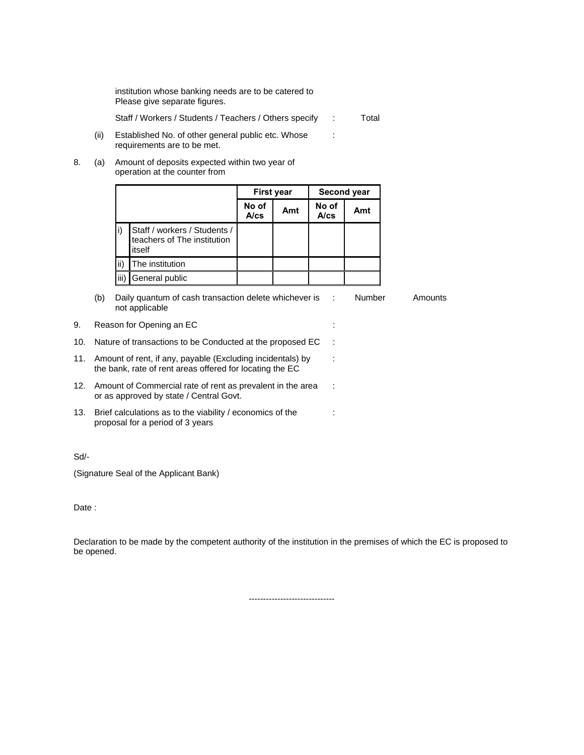institution whose banking needs are to be catered to Please give separate figures.

Staff / Workers / Students / Teachers / Others specify : Total

:

:

:

:

(ii) Established No. of other general public etc. Whose requirements are to be met.

8. (a) Amount of deposits expected within two year of operation at the counter from

|      |                                                                       | <b>First year</b> |     | Second year   |     |
|------|-----------------------------------------------------------------------|-------------------|-----|---------------|-----|
|      |                                                                       | No of<br>A/cs     | Amt | No of<br>A/cs | Amt |
|      | Staff / workers / Students /<br>teachers of The institution<br>itself |                   |     |               |     |
| ii)  | The institution                                                       |                   |     |               |     |
| iii) | General public                                                        |                   |     |               |     |

(b) Daily quantum of cash transaction delete whichever is not applicable : Number Amounts

| 9. Reason for Opening an EC |  |
|-----------------------------|--|
|                             |  |

- 10. Nature of transactions to be Conducted at the proposed EC :
- 11. Amount of rent, if any, payable (Excluding incidentals) by the bank, rate of rent areas offered for locating the EC
- 12. Amount of Commercial rate of rent as prevalent in the area or as approved by state / Central Govt.
- 13. Brief calculations as to the viability / economics of the proposal for a period of 3 years

Sd/-

(Signature Seal of the Applicant Bank)

Date :

Declaration to be made by the competent authority of the institution in the premises of which the EC is proposed to be opened.

------------------------------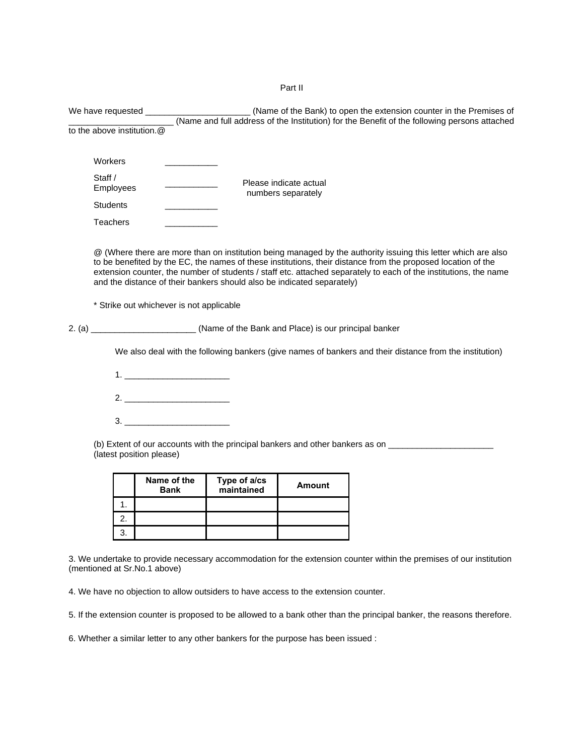Part II

|                                                                                                      |                             | 1. | Bank                                                                                                                                                                                                                                                                                                                   | maintained                                                                          | <b>Amount</b>                                |                                                                                                                                                                                                                                                                                                                                                   |
|------------------------------------------------------------------------------------------------------|-----------------------------|----|------------------------------------------------------------------------------------------------------------------------------------------------------------------------------------------------------------------------------------------------------------------------------------------------------------------------|-------------------------------------------------------------------------------------|----------------------------------------------|---------------------------------------------------------------------------------------------------------------------------------------------------------------------------------------------------------------------------------------------------------------------------------------------------------------------------------------------------|
|                                                                                                      |                             |    | (latest position please)<br>Name of the                                                                                                                                                                                                                                                                                | Type of a/cs                                                                        |                                              |                                                                                                                                                                                                                                                                                                                                                   |
| (b) Extent of our accounts with the principal bankers and other bankers as on ______________________ |                             |    |                                                                                                                                                                                                                                                                                                                        |                                                                                     |                                              |                                                                                                                                                                                                                                                                                                                                                   |
|                                                                                                      |                             |    | 3.                                                                                                                                                                                                                                                                                                                     |                                                                                     |                                              |                                                                                                                                                                                                                                                                                                                                                   |
|                                                                                                      |                             |    | 2.                                                                                                                                                                                                                                                                                                                     |                                                                                     |                                              |                                                                                                                                                                                                                                                                                                                                                   |
|                                                                                                      |                             |    | $1.$ $\frac{1}{2}$ $\frac{1}{2}$ $\frac{1}{2}$ $\frac{1}{2}$ $\frac{1}{2}$ $\frac{1}{2}$ $\frac{1}{2}$ $\frac{1}{2}$ $\frac{1}{2}$ $\frac{1}{2}$ $\frac{1}{2}$ $\frac{1}{2}$ $\frac{1}{2}$ $\frac{1}{2}$ $\frac{1}{2}$ $\frac{1}{2}$ $\frac{1}{2}$ $\frac{1}{2}$ $\frac{1}{2}$ $\frac{1}{2}$ $\frac{1}{2}$ $\frac{1}{$ |                                                                                     |                                              |                                                                                                                                                                                                                                                                                                                                                   |
|                                                                                                      |                             |    |                                                                                                                                                                                                                                                                                                                        |                                                                                     |                                              | We also deal with the following bankers (give names of bankers and their distance from the institution)                                                                                                                                                                                                                                           |
|                                                                                                      |                             |    |                                                                                                                                                                                                                                                                                                                        | 2. (a) ________________________(Name of the Bank and Place) is our principal banker |                                              |                                                                                                                                                                                                                                                                                                                                                   |
|                                                                                                      |                             |    | * Strike out whichever is not applicable                                                                                                                                                                                                                                                                               |                                                                                     |                                              |                                                                                                                                                                                                                                                                                                                                                   |
|                                                                                                      |                             |    |                                                                                                                                                                                                                                                                                                                        | and the distance of their bankers should also be indicated separately)              |                                              | @ (Where there are more than on institution being managed by the authority issuing this letter which are also<br>to be benefited by the EC, the names of these institutions, their distance from the proposed location of the<br>extension counter, the number of students / staff etc. attached separately to each of the institutions, the name |
|                                                                                                      | <b>Teachers</b>             |    |                                                                                                                                                                                                                                                                                                                        |                                                                                     |                                              |                                                                                                                                                                                                                                                                                                                                                   |
|                                                                                                      | <b>Students</b>             |    |                                                                                                                                                                                                                                                                                                                        |                                                                                     |                                              |                                                                                                                                                                                                                                                                                                                                                   |
|                                                                                                      | Staff /<br><b>Employees</b> |    |                                                                                                                                                                                                                                                                                                                        |                                                                                     | Please indicate actual<br>numbers separately |                                                                                                                                                                                                                                                                                                                                                   |
|                                                                                                      | Workers                     |    |                                                                                                                                                                                                                                                                                                                        |                                                                                     |                                              |                                                                                                                                                                                                                                                                                                                                                   |
|                                                                                                      |                             |    | to the above institution.@                                                                                                                                                                                                                                                                                             |                                                                                     |                                              |                                                                                                                                                                                                                                                                                                                                                   |
|                                                                                                      |                             |    |                                                                                                                                                                                                                                                                                                                        |                                                                                     |                                              | (Name of the Bank) to open the extension counter in the Premises of<br>(Name and full address of the Institution) for the Benefit of the following persons attached                                                                                                                                                                               |
|                                                                                                      |                             |    |                                                                                                                                                                                                                                                                                                                        |                                                                                     |                                              |                                                                                                                                                                                                                                                                                                                                                   |

3. We undertake to provide necessary accommodation for the extension counter within the premises of our institution (mentioned at Sr.No.1 above)

4. We have no objection to allow outsiders to have access to the extension counter.

2. 3.

5. If the extension counter is proposed to be allowed to a bank other than the principal banker, the reasons therefore.

6. Whether a similar letter to any other bankers for the purpose has been issued :